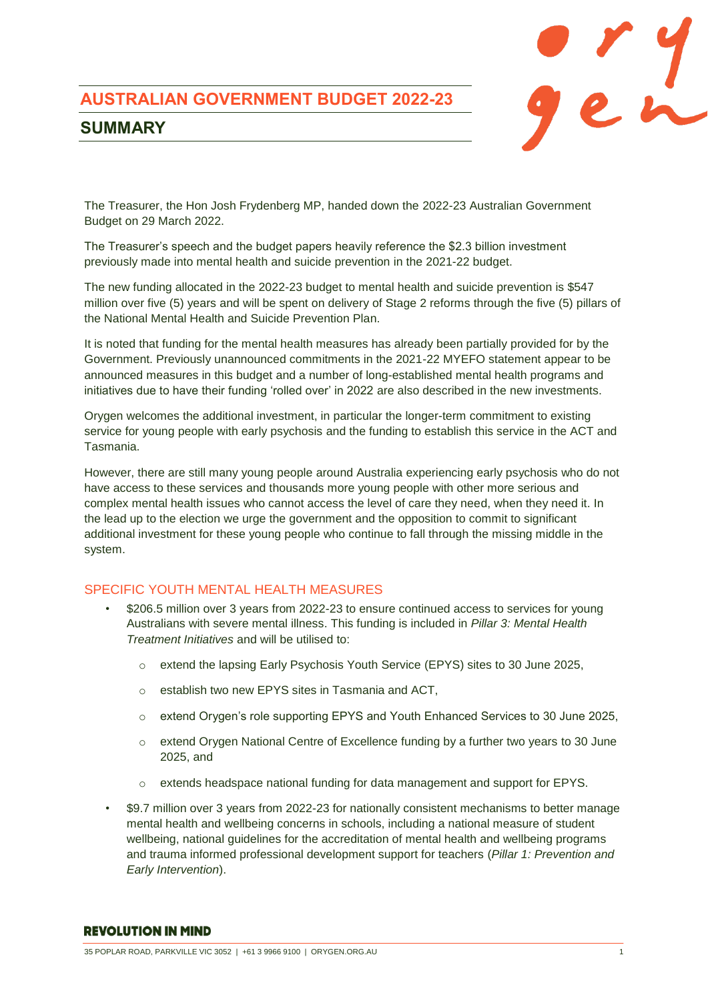# **AUSTRALIAN GOVERNMENT BUDGET 2022-23**



# **SUMMARY**

The Treasurer, the Hon Josh Frydenberg MP, handed down the 2022-23 Australian Government Budget on 29 March 2022.

The Treasurer's speech and the budget papers heavily reference the \$2.3 billion investment previously made into mental health and suicide prevention in the 2021-22 budget.

The new funding allocated in the 2022-23 budget to mental health and suicide prevention is \$547 million over five (5) years and will be spent on delivery of Stage 2 reforms through the five (5) pillars of the National Mental Health and Suicide Prevention Plan.

It is noted that funding for the mental health measures has already been partially provided for by the Government. Previously unannounced commitments in the 2021-22 MYEFO statement appear to be announced measures in this budget and a number of long-established mental health programs and initiatives due to have their funding 'rolled over' in 2022 are also described in the new investments.

Orygen welcomes the additional investment, in particular the longer-term commitment to existing service for young people with early psychosis and the funding to establish this service in the ACT and Tasmania.

However, there are still many young people around Australia experiencing early psychosis who do not have access to these services and thousands more young people with other more serious and complex mental health issues who cannot access the level of care they need, when they need it. In the lead up to the election we urge the government and the opposition to commit to significant additional investment for these young people who continue to fall through the missing middle in the system.

# SPECIFIC YOUTH MENTAL HEALTH MEASURES

- \$206.5 million over 3 years from 2022-23 to ensure continued access to services for young Australians with severe mental illness. This funding is included in *Pillar 3: Mental Health Treatment Initiatives* and will be utilised to:
	- o extend the lapsing Early Psychosis Youth Service (EPYS) sites to 30 June 2025,
	- o establish two new EPYS sites in Tasmania and ACT,
	- o extend Orygen's role supporting EPYS and Youth Enhanced Services to 30 June 2025,
	- o extend Orygen National Centre of Excellence funding by a further two years to 30 June 2025, and
	- extends headspace national funding for data management and support for EPYS.
- \$9.7 million over 3 years from 2022-23 for nationally consistent mechanisms to better manage mental health and wellbeing concerns in schools, including a national measure of student wellbeing, national guidelines for the accreditation of mental health and wellbeing programs and trauma informed professional development support for teachers (*Pillar 1: Prevention and Early Intervention*).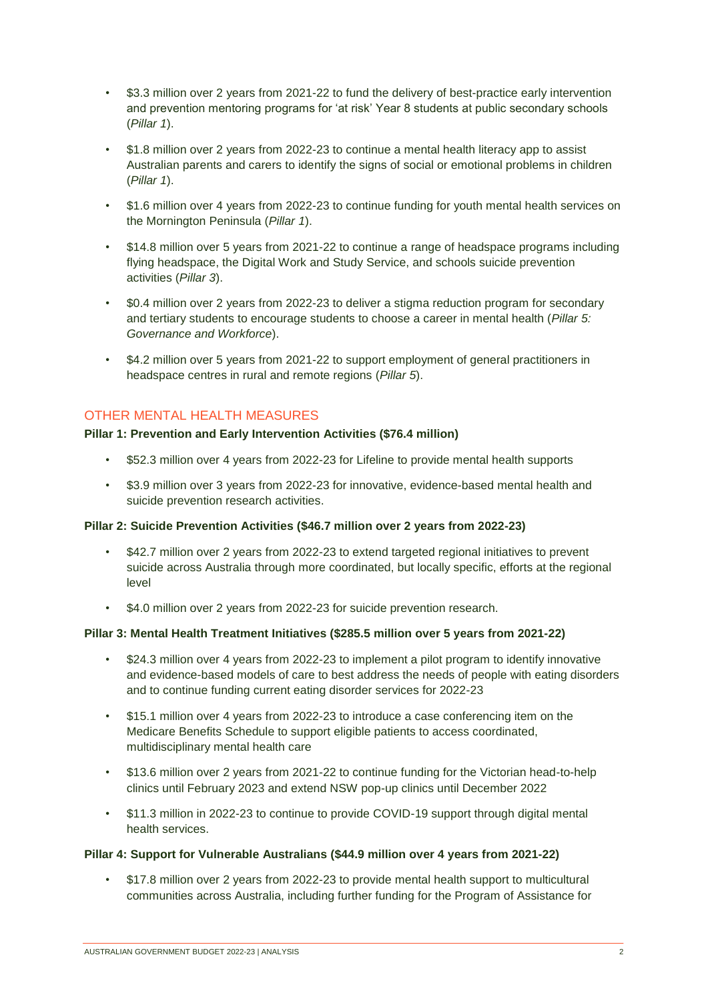- \$3.3 million over 2 years from 2021-22 to fund the delivery of best-practice early intervention and prevention mentoring programs for 'at risk' Year 8 students at public secondary schools (*Pillar 1*).
- \$1.8 million over 2 years from 2022-23 to continue a mental health literacy app to assist Australian parents and carers to identify the signs of social or emotional problems in children (*Pillar 1*).
- \$1.6 million over 4 years from 2022-23 to continue funding for youth mental health services on the Mornington Peninsula (*Pillar 1*).
- \$14.8 million over 5 years from 2021-22 to continue a range of headspace programs including flying headspace, the Digital Work and Study Service, and schools suicide prevention activities (*Pillar 3*).
- \$0.4 million over 2 years from 2022-23 to deliver a stigma reduction program for secondary and tertiary students to encourage students to choose a career in mental health (*Pillar 5: Governance and Workforce*).
- \$4.2 million over 5 years from 2021-22 to support employment of general practitioners in headspace centres in rural and remote regions (*Pillar 5*).

# OTHER MENTAL HEALTH MEASURES

# **Pillar 1: Prevention and Early Intervention Activities (\$76.4 million)**

- \$52.3 million over 4 years from 2022-23 for Lifeline to provide mental health supports
- \$3.9 million over 3 years from 2022-23 for innovative, evidence-based mental health and suicide prevention research activities.

# **Pillar 2: Suicide Prevention Activities (\$46.7 million over 2 years from 2022-23)**

- \$42.7 million over 2 years from 2022-23 to extend targeted regional initiatives to prevent suicide across Australia through more coordinated, but locally specific, efforts at the regional level
- \$4.0 million over 2 years from 2022-23 for suicide prevention research.

# **Pillar 3: Mental Health Treatment Initiatives (\$285.5 million over 5 years from 2021-22)**

- \$24.3 million over 4 years from 2022-23 to implement a pilot program to identify innovative and evidence-based models of care to best address the needs of people with eating disorders and to continue funding current eating disorder services for 2022-23
- \$15.1 million over 4 years from 2022-23 to introduce a case conferencing item on the Medicare Benefits Schedule to support eligible patients to access coordinated, multidisciplinary mental health care
- \$13.6 million over 2 years from 2021-22 to continue funding for the Victorian head-to-help clinics until February 2023 and extend NSW pop-up clinics until December 2022
- \$11.3 million in 2022-23 to continue to provide COVID-19 support through digital mental health services.

# **Pillar 4: Support for Vulnerable Australians (\$44.9 million over 4 years from 2021-22)**

• \$17.8 million over 2 years from 2022-23 to provide mental health support to multicultural communities across Australia, including further funding for the Program of Assistance for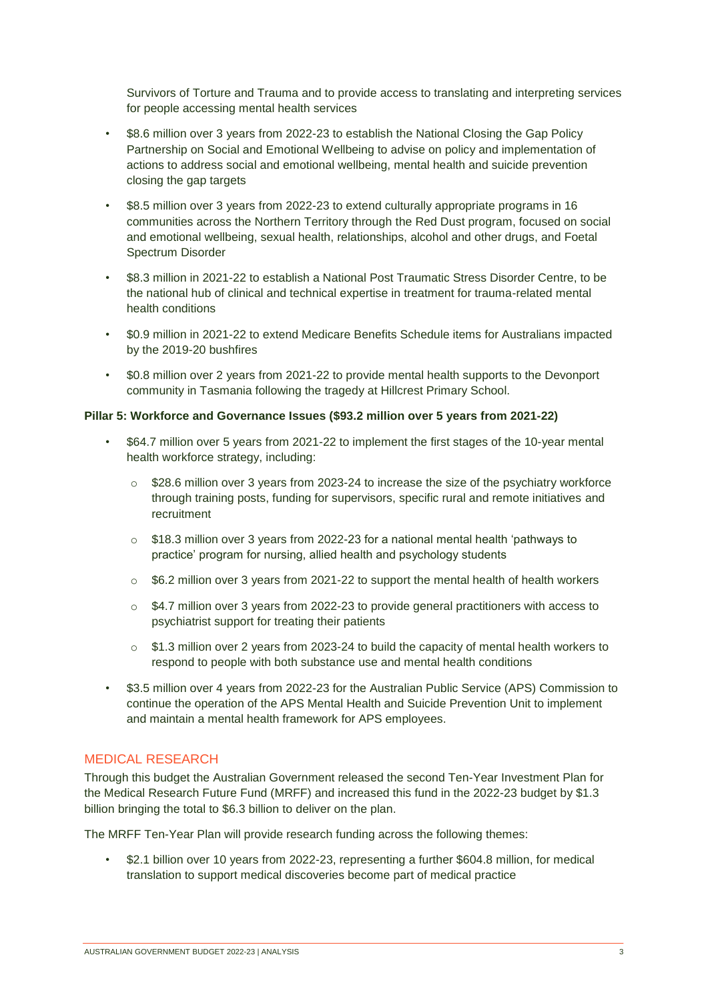Survivors of Torture and Trauma and to provide access to translating and interpreting services for people accessing mental health services

- \$8.6 million over 3 years from 2022-23 to establish the National Closing the Gap Policy Partnership on Social and Emotional Wellbeing to advise on policy and implementation of actions to address social and emotional wellbeing, mental health and suicide prevention closing the gap targets
- \$8.5 million over 3 years from 2022-23 to extend culturally appropriate programs in 16 communities across the Northern Territory through the Red Dust program, focused on social and emotional wellbeing, sexual health, relationships, alcohol and other drugs, and Foetal Spectrum Disorder
- \$8.3 million in 2021-22 to establish a National Post Traumatic Stress Disorder Centre, to be the national hub of clinical and technical expertise in treatment for trauma-related mental health conditions
- \$0.9 million in 2021-22 to extend Medicare Benefits Schedule items for Australians impacted by the 2019-20 bushfires
- \$0.8 million over 2 years from 2021-22 to provide mental health supports to the Devonport community in Tasmania following the tragedy at Hillcrest Primary School.

#### **Pillar 5: Workforce and Governance Issues (\$93.2 million over 5 years from 2021-22)**

- \$64.7 million over 5 years from 2021-22 to implement the first stages of the 10-year mental health workforce strategy, including:
	- $\circ$  \$28.6 million over 3 years from 2023-24 to increase the size of the psychiatry workforce through training posts, funding for supervisors, specific rural and remote initiatives and recruitment
	- o \$18.3 million over 3 years from 2022-23 for a national mental health 'pathways to practice' program for nursing, allied health and psychology students
	- $\circ$  \$6.2 million over 3 years from 2021-22 to support the mental health of health workers
	- o \$4.7 million over 3 years from 2022-23 to provide general practitioners with access to psychiatrist support for treating their patients
	- o \$1.3 million over 2 years from 2023-24 to build the capacity of mental health workers to respond to people with both substance use and mental health conditions
- \$3.5 million over 4 years from 2022-23 for the Australian Public Service (APS) Commission to continue the operation of the APS Mental Health and Suicide Prevention Unit to implement and maintain a mental health framework for APS employees.

# MEDICAL RESEARCH

Through this budget the Australian Government released the second Ten-Year Investment Plan for the Medical Research Future Fund (MRFF) and increased this fund in the 2022-23 budget by \$1.3 billion bringing the total to \$6.3 billion to deliver on the plan.

The MRFF Ten-Year Plan will provide research funding across the following themes:

• \$2.1 billion over 10 years from 2022-23, representing a further \$604.8 million, for medical translation to support medical discoveries become part of medical practice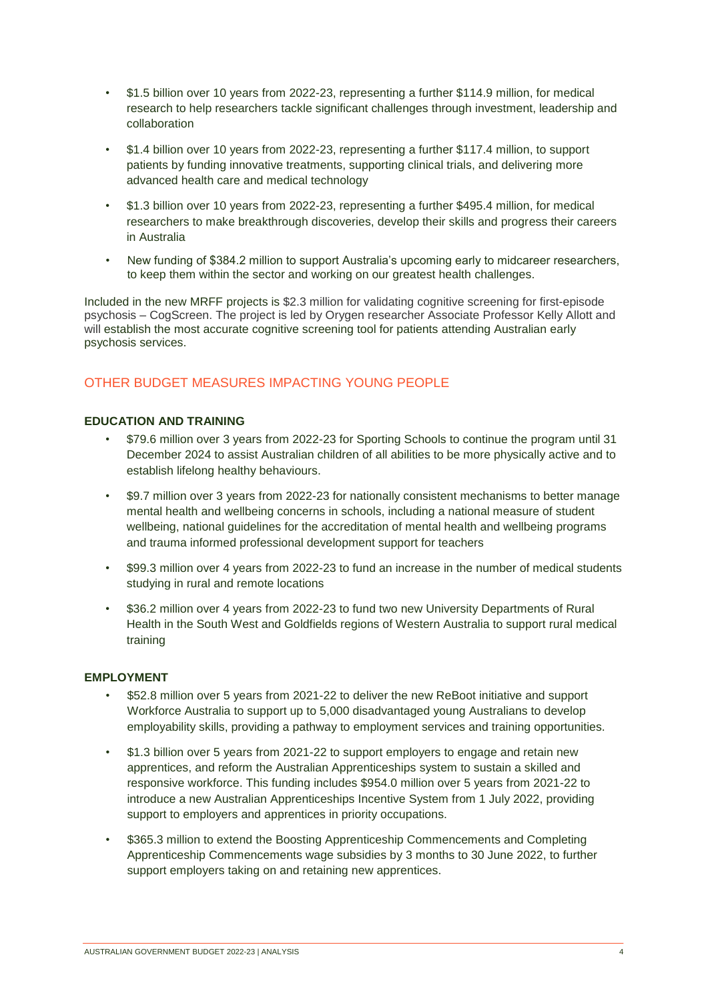- \$1.5 billion over 10 years from 2022-23, representing a further \$114.9 million, for medical research to help researchers tackle significant challenges through investment, leadership and collaboration
- \$1.4 billion over 10 years from 2022-23, representing a further \$117.4 million, to support patients by funding innovative treatments, supporting clinical trials, and delivering more advanced health care and medical technology
- \$1.3 billion over 10 years from 2022-23, representing a further \$495.4 million, for medical researchers to make breakthrough discoveries, develop their skills and progress their careers in Australia
- New funding of \$384.2 million to support Australia's upcoming early to midcareer researchers, to keep them within the sector and working on our greatest health challenges.

Included in the new MRFF projects is \$2.3 million for validating cognitive screening for first-episode psychosis – CogScreen. The project is led by Orygen researcher Associate Professor Kelly Allott and will establish the most accurate cognitive screening tool for patients attending Australian early psychosis services.

# OTHER BUDGET MEASURES IMPACTING YOUNG PEOPLE

# **EDUCATION AND TRAINING**

- \$79.6 million over 3 years from 2022-23 for Sporting Schools to continue the program until 31 December 2024 to assist Australian children of all abilities to be more physically active and to establish lifelong healthy behaviours.
- \$9.7 million over 3 years from 2022-23 for nationally consistent mechanisms to better manage mental health and wellbeing concerns in schools, including a national measure of student wellbeing, national guidelines for the accreditation of mental health and wellbeing programs and trauma informed professional development support for teachers
- \$99.3 million over 4 years from 2022-23 to fund an increase in the number of medical students studying in rural and remote locations
- \$36.2 million over 4 years from 2022-23 to fund two new University Departments of Rural Health in the South West and Goldfields regions of Western Australia to support rural medical training

# **EMPLOYMENT**

- \$52.8 million over 5 years from 2021-22 to deliver the new ReBoot initiative and support Workforce Australia to support up to 5,000 disadvantaged young Australians to develop employability skills, providing a pathway to employment services and training opportunities.
- \$1.3 billion over 5 years from 2021-22 to support employers to engage and retain new apprentices, and reform the Australian Apprenticeships system to sustain a skilled and responsive workforce. This funding includes \$954.0 million over 5 years from 2021-22 to introduce a new Australian Apprenticeships Incentive System from 1 July 2022, providing support to employers and apprentices in priority occupations.
- \$365.3 million to extend the Boosting Apprenticeship Commencements and Completing Apprenticeship Commencements wage subsidies by 3 months to 30 June 2022, to further support employers taking on and retaining new apprentices.